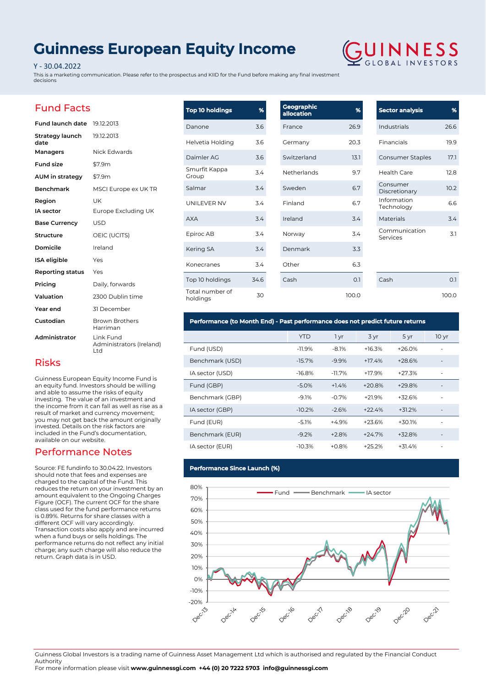# **Guinness European Equity Income**

### Y - 30.04.2022

This is a marketing communication. Please refer to the prospectus and KIID for the Fund before making any final investment decisions



## Fund Facts

| <b>Fund launch date</b> 19.12.2013 |                                              |
|------------------------------------|----------------------------------------------|
| Strategy launch<br>date            | 19.12.2013                                   |
| Managers                           | Nick Edwards                                 |
| <b>Fund size</b>                   | \$7.9m                                       |
| AUM in strategy                    | \$7.9m                                       |
| <b>Benchmark</b>                   | MSCI Europe ex UK TR                         |
| Region                             | UK                                           |
| <b>IA</b> sector                   | Europe Excluding UK                          |
| <b>Base Currency</b>               | <b>USD</b>                                   |
| Structure                          | OEIC (UCITS)                                 |
| Domicile                           | Ireland                                      |
| <b>ISA</b> eligible                | Yes                                          |
| Reporting status                   | Yes                                          |
| Pricing                            | Daily, forwards                              |
| Valuation                          | 2300 Dublin time                             |
| Year end                           | 31 December                                  |
| Custodian                          | <b>Brown Brothers</b><br>Harriman            |
| Administrator                      | Link Fund<br>Administrators (Ireland)<br>Ltd |

| <b>Top 10 holdings</b>      | %    | Geographic<br>allocation | %     |
|-----------------------------|------|--------------------------|-------|
| Danone                      | 3.6  | France                   | 26.9  |
| Helvetia Holding            | 3.6  | Germany                  | 20.3  |
| Daimler AG                  | 3.6  | Switzerland              | 13.1  |
| Smurfit Kappa<br>Group      | 3.4  | Netherlands              | 9.7   |
| Salmar                      | 3.4  | Sweden                   | 6.7   |
| UNILEVER NV                 | 3.4  | Finland                  | 6.7   |
| <b>AXA</b>                  | 3.4  | Ireland                  | 3.4   |
| Epiroc AB                   | 3.4  | Norway                   | 3.4   |
| Kering SA                   | 34   | Denmark                  | 3.3   |
| Konecranes                  | 3.4  | Other                    | 6.3   |
| Top 10 holdings             | 34.6 | Cash                     | 0.1   |
| Total number of<br>holdings | 30   |                          | 100.0 |

| 26.6 |
|------|
| 19.9 |
| 17.1 |
| 12 B |
| 10.2 |
| 6.6  |
| 34   |
| 31   |
|      |

Cash 0.1

100.0

### **Performance (to Month End) - Past performance does not predict future returns**

|                 | YTD      | 1 yr     | 3 yr     | 5 yr     | 10 <sub>yr</sub>         |
|-----------------|----------|----------|----------|----------|--------------------------|
| Fund (USD)      | $-11.9%$ | $-8.1%$  | $+16.3%$ | $+26.0%$ |                          |
| Benchmark (USD) | $-15.7%$ | $-9.9\%$ | $+17.4%$ | $+28.6%$ |                          |
| IA sector (USD) | $-16.8%$ | $-11.7%$ | $+17.9%$ | $+27.3%$ |                          |
| Fund (GBP)      | $-5.0%$  | $+1.4%$  | $+20.8%$ | $+29.8%$ |                          |
| Benchmark (GBP) | $-9.1%$  | $-0.7%$  | $+21.9%$ | $+32.6%$ |                          |
| IA sector (GBP) | $-10.2%$ | $-2.6%$  | $+22.4%$ | $+31.2%$ | $\overline{\phantom{0}}$ |
| Fund (EUR)      | $-5.1%$  | $+4.9%$  | $+23.6%$ | $+30.1%$ |                          |
| Benchmark (EUR) | $-9.2%$  | $+2.8%$  | $+24.7%$ | $+32.8%$ |                          |
| IA sector (EUR) | $-10.3%$ | $+0.8%$  | $+25.2%$ | $+31.4%$ |                          |

### **Performance Since Launch (%)**



Guinness Global Investors is a trading name of Guinness Asset Management Ltd which is authorised and regulated by the Financial Conduct Authority

For more information please visit **www.guinnessgi.com +44 (0) 20 7222 5703 info@guinnessgi.com** 

## Risks

Guinness European Equity Income Fund is an equity fund. Investors should be willing and able to assume the risks of equity investing. The value of an investment and the income from it can fall as well as rise as a result of market and currency movement; you may not get back the amount originally invested. Details on the risk factors are included in the Fund's documentation, available on our website.

### Performance Notes

Source: FE fundinfo to 30.04.22. Investors should note that fees and expenses are charged to the capital of the Fund. This reduces the return on your investment by an amount equivalent to the Ongoing Charges Figure (OCF). The current OCF for the share class used for the fund performance returns is 0.89%. Returns for share classes with a different OCF will vary accordingly. Transaction costs also apply and are incurred when a fund buys or sells holdings. The performance returns do not reflect any initial charge; any such charge will also reduce the return. Graph data is in USD.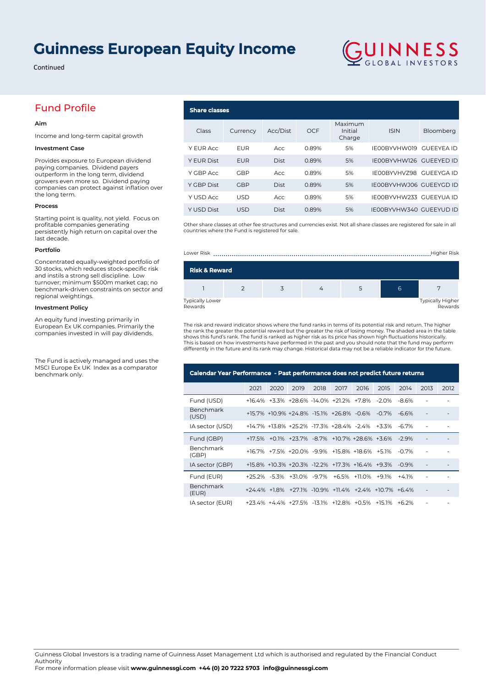# **Guinness European Equity Income**

Continued

## Fund Profile

### **Aim**

Income and long-term capital growth

#### **Investment Case**

Provides exposure to European dividend paying companies. Dividend payers outperform in the long term, dividend growers even more so. Dividend paying companies can protect against inflation over the long term.

#### **Process**

Starting point is quality, not yield. Focus on profitable companies generating persistently high return on capital over the last decade.

#### **Portfolio**

Concentrated equally-weighted portfolio of 30 stocks, which reduces stock-specific risk and instils a strong sell discipline. Low turnover; minimum \$500m market cap; no benchmark-driven constraints on sector and regional weightings.

#### **Investment Policy**

An equity fund investing primarily in European Ex UK companies. Primarily the companies invested in will pay dividends.

The Fund is actively managed and uses the MSCI Europe Ex UK Index as a comparator benchmark only.

### **Share classes** Class Currency Acc/Dist OCF Maximum Initial Charge ISIN Bloomberg Y EUR Acc EUR Acc 0.89% 5% IE00BYVHW019 GUEEYEA ID Y EUR Dist EUR Dist 0.89% 5% IE00BYVHW126 GUEEYED ID Y GBP Acc GBP Acc 0.89% 5% IE00BYVHVZ98 GUEEYGA ID Y GBP Dist GBP Dist 0.89% 5% IE00BYVHWJ06 GUEEYGD ID Y USD Acc USD Acc 0.89% 5% IE00BYVHW233 GUEEYUA ID Y USD Dist USD Dist 0.89% 5% IE00BYVHW340 GUEEYUD ID

GUINNESS

Other share classes at other fee structures and currencies exist. Not all share classes are registered for sale in all countries where the Fund is registered for sale.





The risk and reward indicator shows where the fund ranks in terms of its potential risk and return. The higher the rank the greater the potential reward but the greater the risk of losing money. The shaded area in the table<br>shows this fund's rank. The fund is ranked as higher risk as its price has shown high fluctuations historical This is based on how investments have performed in the past and you should note that the fund may perform differently in the future and its rank may change. Historical data may not be a reliable indicator for the future.

| Calendar Year Performance - Past performance does not predict future returns |      |      |                                                      |      |      |      |       |          |      |      |
|------------------------------------------------------------------------------|------|------|------------------------------------------------------|------|------|------|-------|----------|------|------|
|                                                                              | 2021 | 2020 | 2019                                                 | 2018 | 2017 | 2016 | 2015  | 2014     | 2013 | 2012 |
| Fund (USD)                                                                   |      |      | +16.4% +3.3% +28.6% -14.0% +21.2% +7.8% -2.0%        |      |      |      |       | -86%     |      |      |
| Benchmark<br>(USD)                                                           |      |      | +15.7% +10.9% +24.8% -15.1% +26.8% -0.6% -0.7%       |      |      |      |       | -66%     |      |      |
| IA sector (USD)                                                              |      |      | +14.7% +13.8% +25.2% -17.3% +28.4% -2.4% +3.3%       |      |      |      |       | $-67%$   | ٠    |      |
| Fund (GBP)                                                                   |      |      | +17.5% +0.1% +23.7% -8.7% +10.7% +28.6% +3.6%        |      |      |      |       | $-29%$   |      |      |
| Benchmark<br>(GBP)                                                           |      |      | +16.7% +7.5% +20.0% -9.9% +15.8% +18.6% +5.1%        |      |      |      |       | $-0.7\%$ | ٠    |      |
| IA sector (GBP)                                                              |      |      | +15.8% +10.3% +20.3% -12.2% +17.3% +16.4% +9.3%      |      |      |      |       | $-0.9\%$ |      |      |
| Fund (EUR)                                                                   |      |      | +25.2% -5.3% +31.0% -9.7% +6.5% +11.0%               |      |      |      | +9 1% | $+4.1%$  |      |      |
| Benchmark<br>(EUR)                                                           |      |      | +24.4% +1.8% +27.1% -10.9% +11.4% +2.4% +10.7% +6.4% |      |      |      |       |          |      |      |
| IA sector (EUR)                                                              |      |      | +23.4% +4.4% +27.5% -13.1% +12.8% +0.5% +15.1% +6.2% |      |      |      |       |          |      |      |

Guinness Global Investors is a trading name of Guinness Asset Management Ltd which is authorised and regulated by the Financial Conduct Authority